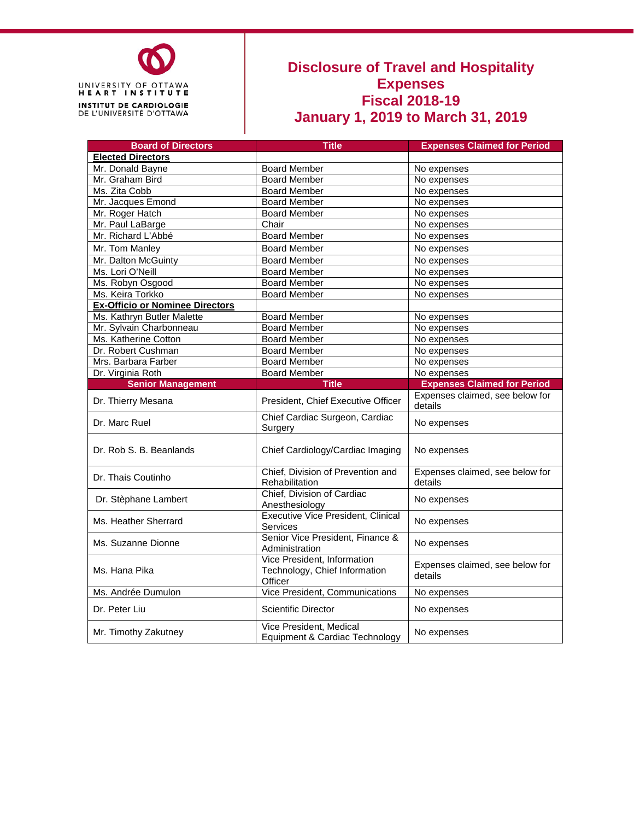

## **Disclosure of Travel and Hospitality Expenses Fiscal 2018-19 January 1, 2019 to March 31, 2019**

| <b>Board of Directors</b>              | <b>Title</b>                                                            | <b>Expenses Claimed for Period</b>         |  |  |
|----------------------------------------|-------------------------------------------------------------------------|--------------------------------------------|--|--|
| <b>Elected Directors</b>               |                                                                         |                                            |  |  |
| Mr. Donald Bayne                       | <b>Board Member</b>                                                     | No expenses                                |  |  |
| Mr. Graham Bird                        | <b>Board Member</b>                                                     | No expenses                                |  |  |
| Ms. Zita Cobb                          | <b>Board Member</b>                                                     | No expenses                                |  |  |
| Mr. Jacques Emond                      | <b>Board Member</b>                                                     | No expenses                                |  |  |
| Mr. Roger Hatch                        | <b>Board Member</b>                                                     | No expenses                                |  |  |
| Mr. Paul LaBarge                       | Chair                                                                   | No expenses                                |  |  |
| Mr. Richard L'Abbé                     | <b>Board Member</b>                                                     | No expenses                                |  |  |
| Mr. Tom Manley                         | <b>Board Member</b>                                                     | No expenses                                |  |  |
| Mr. Dalton McGuinty                    | <b>Board Member</b>                                                     | No expenses                                |  |  |
| Ms. Lori O'Neill                       | <b>Board Member</b>                                                     | No expenses                                |  |  |
| Ms. Robyn Osgood                       | <b>Board Member</b>                                                     | No expenses                                |  |  |
| Ms. Keira Torkko                       | <b>Board Member</b>                                                     | No expenses                                |  |  |
| <b>Ex-Officio or Nominee Directors</b> |                                                                         |                                            |  |  |
| Ms. Kathryn Butler Malette             | <b>Board Member</b>                                                     | No expenses                                |  |  |
| Mr. Sylvain Charbonneau                | <b>Board Member</b>                                                     | No expenses                                |  |  |
| Ms. Katherine Cotton                   | <b>Board Member</b>                                                     | No expenses                                |  |  |
| Dr. Robert Cushman                     | <b>Board Member</b>                                                     | No expenses                                |  |  |
| Mrs. Barbara Farber                    | <b>Board Member</b>                                                     | No expenses                                |  |  |
| Dr. Virginia Roth                      | <b>Board Member</b>                                                     | No expenses                                |  |  |
| <b>Senior Management</b>               | <b>Title</b>                                                            | <b>Expenses Claimed for Period</b>         |  |  |
| Dr. Thierry Mesana                     | President, Chief Executive Officer                                      | Expenses claimed, see below for<br>details |  |  |
| Dr. Marc Ruel                          | Chief Cardiac Surgeon, Cardiac<br>Surgery                               | No expenses                                |  |  |
| Dr. Rob S. B. Beanlands                | Chief Cardiology/Cardiac Imaging                                        | No expenses                                |  |  |
| Dr. Thais Coutinho                     | Chief, Division of Prevention and<br>Rehabilitation                     | Expenses claimed, see below for<br>details |  |  |
| Dr. Stèphane Lambert                   | Chief, Division of Cardiac<br>Anesthesiology                            | No expenses                                |  |  |
| Ms. Heather Sherrard                   | <b>Executive Vice President, Clinical</b><br>Services                   | No expenses                                |  |  |
| Ms. Suzanne Dionne                     | Senior Vice President, Finance &<br>Administration                      | No expenses                                |  |  |
| Ms. Hana Pika                          | Vice President, Information<br>Technology, Chief Information<br>Officer | Expenses claimed, see below for<br>details |  |  |
| Ms. Andrée Dumulon                     | Vice President, Communications                                          | No expenses                                |  |  |
| Dr. Peter Liu                          | <b>Scientific Director</b>                                              | No expenses                                |  |  |
| Mr. Timothy Zakutney                   | Vice President, Medical<br>Equipment & Cardiac Technology               | No expenses                                |  |  |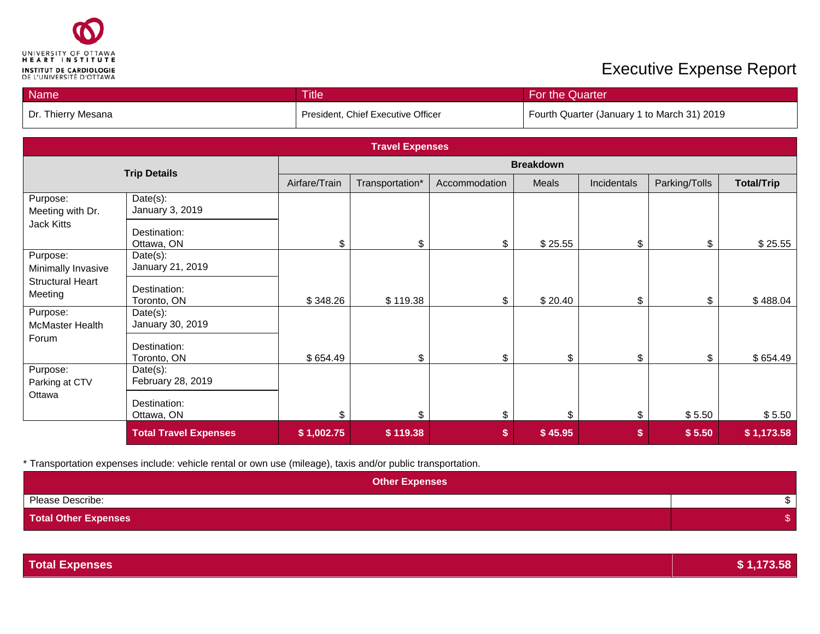

## **Executive Expense Report**

| Name               | <b>Title</b>                       | <b>For the Quarter</b>                      |
|--------------------|------------------------------------|---------------------------------------------|
| Dr. Thierry Mesana | President, Chief Executive Officer | Fourth Quarter (January 1 to March 31) 2019 |

|                                    |                               |               | <b>Travel Expenses</b> |               |         |             |               |                   |
|------------------------------------|-------------------------------|---------------|------------------------|---------------|---------|-------------|---------------|-------------------|
| <b>Trip Details</b>                |                               |               | <b>Breakdown</b>       |               |         |             |               |                   |
|                                    |                               | Airfare/Train | Transportation*        | Accommodation | Meals   | Incidentals | Parking/Tolls | <b>Total/Trip</b> |
| Purpose:<br>Meeting with Dr.       | Date(s):<br>January 3, 2019   |               |                        |               |         |             |               |                   |
| Jack Kitts                         | Destination:<br>Ottawa, ON    | \$            | \$                     | \$            | \$25.55 | \$          | \$            | \$25.55           |
| Purpose:<br>Minimally Invasive     | Date(s):<br>January 21, 2019  |               |                        |               |         |             |               |                   |
| <b>Structural Heart</b><br>Meeting | Destination:<br>Toronto, ON   | \$348.26      | \$119.38               | \$            | \$20.40 | \$          | \$            | \$488.04          |
| Purpose:<br><b>McMaster Health</b> | Date(s):<br>January 30, 2019  |               |                        |               |         |             |               |                   |
| Forum                              | Destination:<br>Toronto, ON   | \$654.49      | \$                     | \$            | \$      | \$          | \$            | \$654.49          |
| Purpose:<br>Parking at CTV         | Date(s):<br>February 28, 2019 |               |                        |               |         |             |               |                   |
| Ottawa                             | Destination:<br>Ottawa, ON    | \$            | \$                     | \$            | \$      | \$          | \$5.50        | \$5.50            |
|                                    | <b>Total Travel Expenses</b>  | \$1,002.75    | \$119.38               | \$            | \$45.95 | \$          | \$5.50        | \$1,173.58        |

\* Transportation expenses include: vehicle rental or own use (mileage), taxis and/or public transportation.

| <b>Other Expenses</b>       |  |
|-----------------------------|--|
| Please Describe:            |  |
| <b>Total Other Expenses</b> |  |

| <b>Total Expenses</b> | \$1,173.58 |
|-----------------------|------------|
|-----------------------|------------|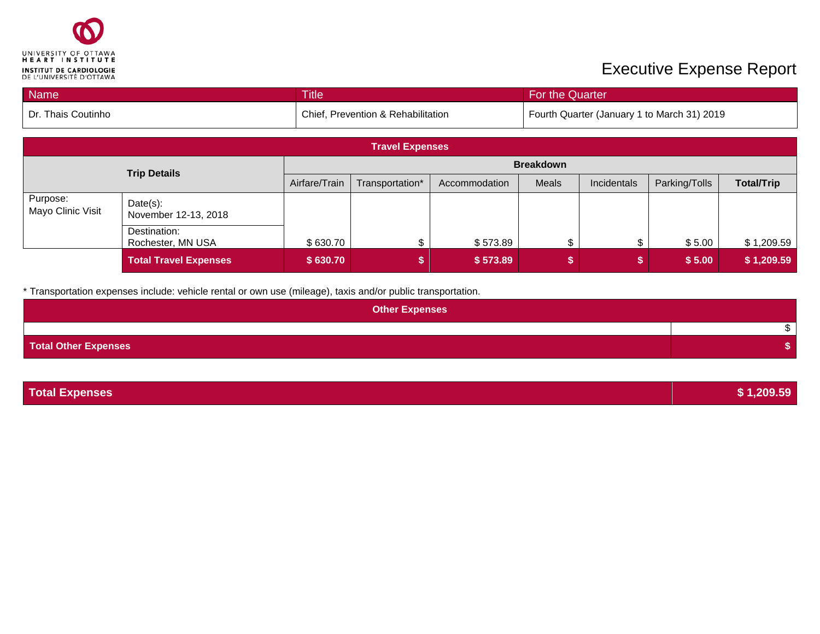

## **Executive Expense Report**

| <b>Name</b>        | <b>Title</b>                       | For the Quarter                             |
|--------------------|------------------------------------|---------------------------------------------|
| Dr. Thais Coutinho | Chief, Prevention & Rehabilitation | Fourth Quarter (January 1 to March 31) 2019 |

| <b>Travel Expenses</b>        |                                   |               |                  |               |       |             |               |                   |
|-------------------------------|-----------------------------------|---------------|------------------|---------------|-------|-------------|---------------|-------------------|
|                               | <b>Trip Details</b>               |               | <b>Breakdown</b> |               |       |             |               |                   |
|                               |                                   | Airfare/Train | Transportation*  | Accommodation | Meals | Incidentals | Parking/Tolls | <b>Total/Trip</b> |
| Purpose:<br>Mayo Clinic Visit | Date(s):<br>November 12-13, 2018  |               |                  |               |       |             |               |                   |
|                               | Destination:<br>Rochester, MN USA | \$630.70      | ጦ                | \$573.89      |       |             | \$5.00        | \$1,209.59        |
|                               | <b>Total Travel Expenses</b>      | \$630.70      |                  | \$573.89      |       |             | \$5.00        | \$1,209.59        |

\* Transportation expenses include: vehicle rental or own use (mileage), taxis and/or public transportation.

| <b>Other Expenses</b>       |  |
|-----------------------------|--|
|                             |  |
| <b>Total Other Expenses</b> |  |

| <b>Total Expenses</b> | \$1,209.59 |
|-----------------------|------------|
|                       |            |